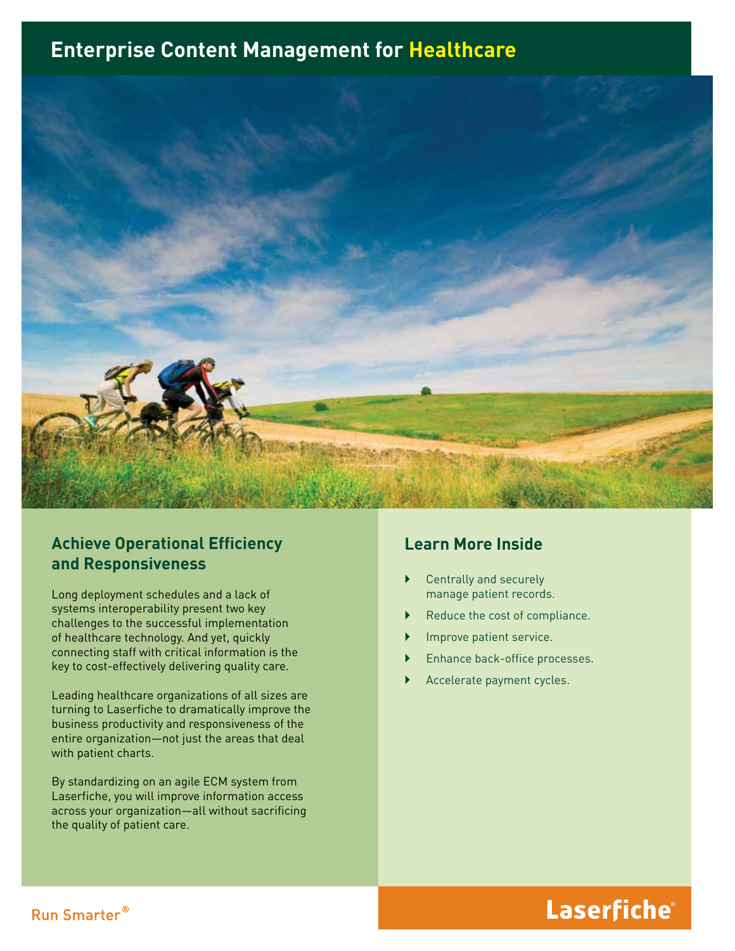## **Enterprise Content Management for Healthcare**



### **Achieve Operational Efficiency and Responsiveness**

Long deployment schedules and a lack of systems interoperability present two key challenges to the successful implementation of healthcare technology. And yet, quickly connecting staff with critical information is the key to cost-effectively delivering quality care.

Leading healthcare organizations of all sizes are turning to Laserfiche to dramatically improve the business productivity and responsiveness of the entire organization—not just the areas that deal with patient charts.

By standardizing on an agile ECM system from Laserfiche, you will improve information access across your organization—all without sacrificing the quality of patient care.

### **Learn More Inside**

- $\triangleright$  Centrally and securely manage patient records.
- Reduce the cost of compliance.
- Improve patient service.
- Enhance back-office processes.
- Accelerate payment cycles.

# Laserfiche®

### Run Smarter®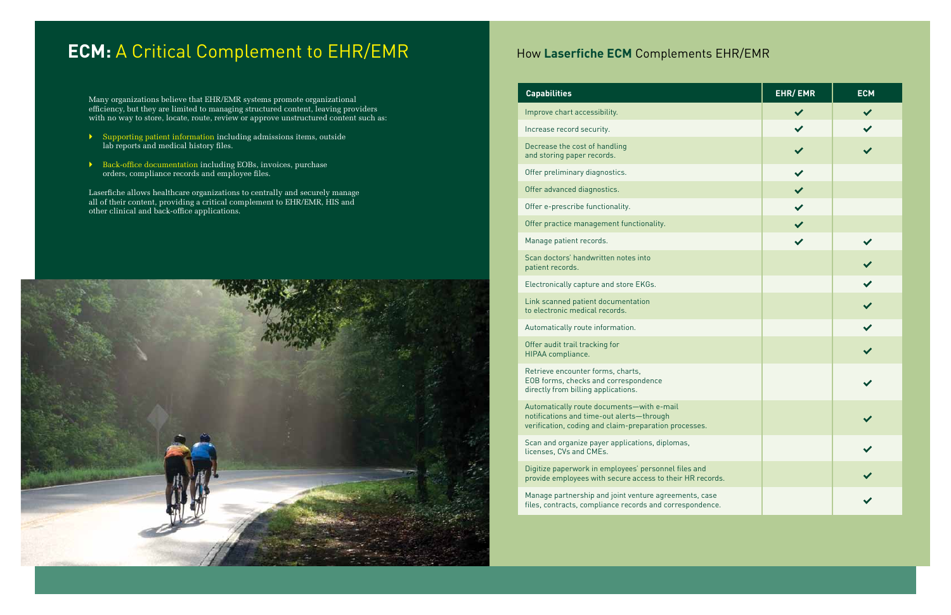# **ECM:** A Critical Complement to EHR/EMR How Laserfiche ECM Complements EHR/EMR

Many organizations believe that EHR/EMR systems promote organizational efficiency, but they are limited to managing structured content, leaving providers with no way to store, locate, route, review or approve unstructured content such as:

- $\blacktriangleright$  Supporting patient information including admissions items, outside lab reports and medical history files.
- **Back-office documentation including EOBs, invoices, purchase** orders, compliance records and employee files.

Laserfiche allows healthcare organizations to centrally and securely manage all of their content, providing a critical complement to EHR/EMR, HIS and other clinical and back-office applications.



#### **Capabilities**

Automatically route documents—with e-mail notifications and time-out alerts—through verification, coding and claim-preparation processe

Improve chart accessibility.

Increase record security.

Decrease the cost of handling and storing paper records.

Offer preliminary diagnostics.

Offer advanced diagnostics.

Offer e-prescribe functionality.

Offer practice management functionality.

Manage patient records.

Scan doctors' handwritten notes into patient records.

Electronically capture and store EKGs.

Link scanned patient documentation to electronic medical records.

Automatically route information.

Offer audit trail tracking for HIPAA compliance.

Retrieve encounter forms, charts, EOB forms, checks and correspondence directly from billing applications.

Scan and organize payer applications, diplomas, licenses, CVs and CMEs.

Digitize paperwork in employees' personnel files an provide employees with secure access to their HR r

Manage partnership and joint venture agreements, files, contracts, compliance records and correspond

|                | <b>EHR/EMR</b>    | ECM                          |
|----------------|-------------------|------------------------------|
|                | $\checkmark$      | $\blacktriangledown$         |
|                |                   | $\checkmark$                 |
|                | $\checkmark$      | $\checkmark$                 |
|                |                   |                              |
|                | $\langle \rangle$ |                              |
|                |                   |                              |
|                | $\checkmark$      |                              |
|                | $\checkmark$      | $\checkmark$                 |
|                |                   | $\checkmark$                 |
|                |                   | $\overline{\checkmark}$      |
|                |                   | $\checkmark$                 |
|                |                   | $\checkmark$                 |
|                |                   | $\checkmark$                 |
|                |                   |                              |
| s.             |                   |                              |
|                |                   |                              |
| ıd<br>ecords.  |                   |                              |
| case<br>dence. |                   | $\left\langle \right\rangle$ |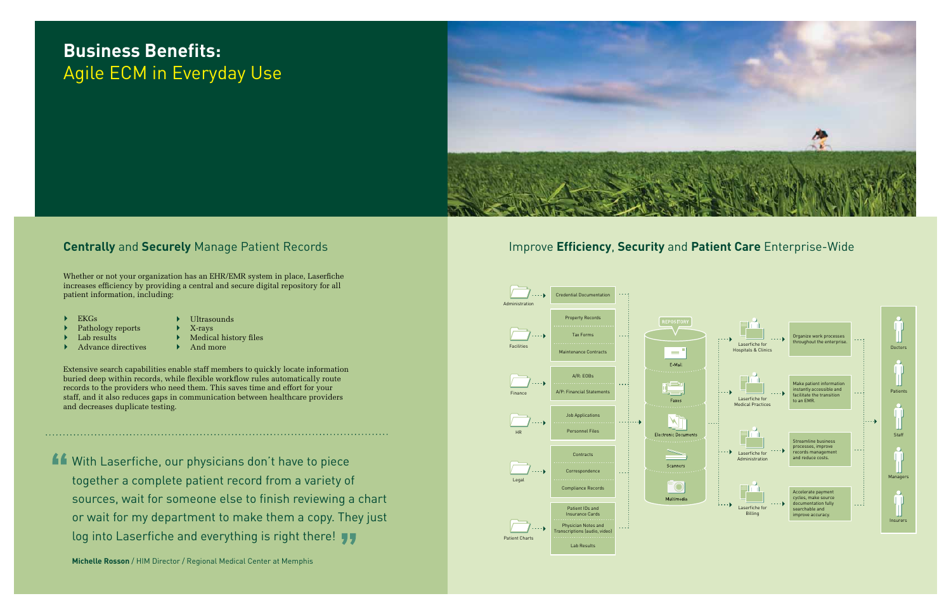# **Business Benefits:**  Agile ECM in Everyday Use



### **Centrally** and **Securely** Manage Patient Records

Whether or not your organization has an EHR/EMR system in place, Laserfiche increases efficiency by providing a central and secure digital repository for all patient information, including:

 $\blacktriangleright$  EKGs

With Laserfiche, our physicians don't have to piece together a complete patient record from a variety of sources, wait for someone else to finish reviewing a chart or wait for my department to make them a copy. They just log into Laserfiche and everything is right there!

Extensive search capabilities enable staff members to quickly locate information buried deep within records, while flexible workflow rules automatically route records to the providers who need them. This saves time and effort for your staff, and it also reduces gaps in communication between healthcare providers and decreases duplicate testing.

- ` Ultrasounds ` X-rays
- Pathology reports
- Lab results  $\blacktriangleright$  Advance directives
- ` Medical history files
- ` And more

**Michelle Rosson** / HIM Director / Regional Medical Center at Memphis

### Improve **Efficiency**, **Security** and **Patient Care** Enterprise-Wide

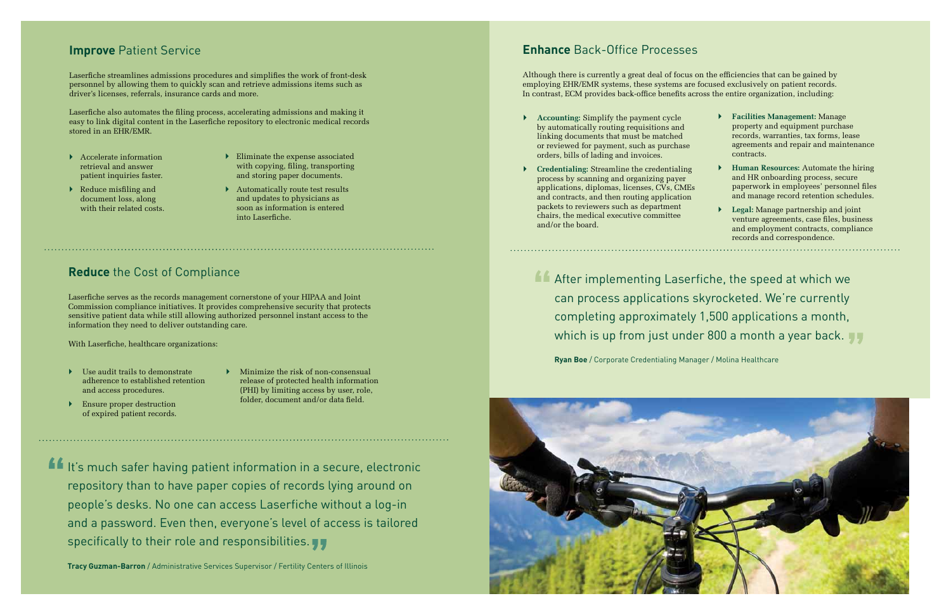### **Improve Patient Service**

Laserfiche streamlines admissions procedures and simplifies the work of front-desk personnel by allowing them to quickly scan and retrieve admissions items such as driver's licenses, referrals, insurance cards and more.

Laserfiche also automates the filing process, accelerating admissions and making it easy to link digital content in the Laserfiche repository to electronic medical records stored in an EHR/EMR.

- **Accelerate information** retrieval and answer patient inquiries faster.
- $\blacktriangleright$  Reduce misfiling and document loss, along with their related costs.
- $\blacktriangleright$  Eliminate the expense associated with copying, filing, transporting and storing paper documents.
- $\blacktriangleright$  Automatically route test results and updates to physicians as soon as information is entered into Laserfiche.

- $\blacktriangleright$  Use audit trails to demonstrate adherence to established retention and access procedures.
- ` Minimize the risk of non-consensual release of protected health information (PHI) by limiting access by user, role, folder, document and/or data field.
- **Ensure proper destruction** of expired patient records.

It's much safer having patient information in a secure, electronic repository than to have paper copies of records lying around on people's desks. No one can access Laserfiche without a log-in and a password. Even then, everyone's level of access is tailored specifically to their role and responsibilities.

### **Reduce** the Cost of Compliance

Laserfiche serves as the records management cornerstone of your HIPAA and Joint Commission compliance initiatives. It provides comprehensive security that protects sensitive patient data while still allowing authorized personnel instant access to the information they need to deliver outstanding care.

With Laserfiche, healthcare organizations:

After implementing Laserfiche, the speed at which we can process applications skyrocketed. We're currently completing approximately 1,500 applications a month, which is up from just under 800 a month a year back.

**Tracy Guzman-Barron** / Administrative Services Supervisor / Fertility Centers of Illinois

### **Enhance** Back-Office Processes

Although there is currently a great deal of focus on the efficiencies that can be gained by employing EHR/EMR systems, these systems are focused exclusively on patient records. In contrast, ECM provides back-office benefits across the entire organization, including:

- ` **Accounting:** Simplify the payment cycle by automatically routing requisitions and linking documents that must be matched or reviewed for payment, such as purchase orders, bills of lading and invoices.
- ` **Credentialing:** Streamline the credentialing process by scanning and organizing payer applications, diplomas, licenses, CVs, CMEs and contracts, and then routing application packets to reviewers such as department chairs, the medical executive committee and/or the board.
- ` **Facilities Management:** Manage property and equipment purchase records, warranties, tax forms, lease agreements and repair and maintenance contracts.
- ` **Human Resources:** Automate the hiring and HR onboarding process, secure paperwork in employees' personnel files and manage record retention schedules.
- ` **Legal:** Manage partnership and joint venture agreements, case files, business and employment contracts, compliance records and correspondence.

**Ryan Boe** / Corporate Credentialing Manager / Molina Healthcare

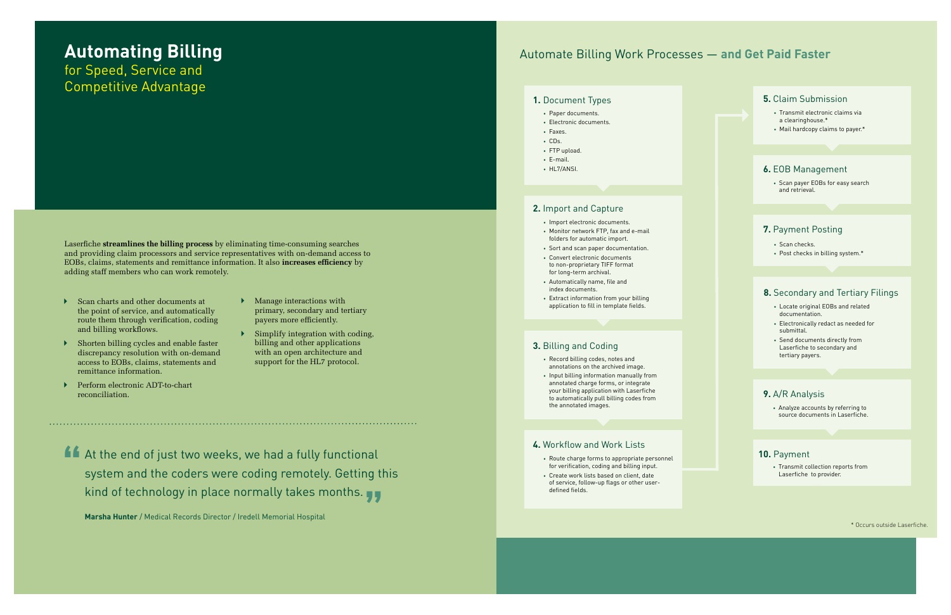Laserfiche **streamlines the billing process** by eliminating time-consuming searches and providing claim processors and service representatives with on-demand access to EOBs, claims, statements and remittance information. It also **increases efficiency** by adding staff members who can work remotely.

- $\triangleright$  Scan charts and other documents at the point of service, and automatically route them through verification, coding and billing workflows.
- $\blacktriangleright$  Shorten billing cycles and enable faster discrepancy resolution with on-demand access to EOBs, claims, statements and remittance information.
- ` Perform electronic ADT-to-chart reconciliation.
- $\blacktriangleright$  Manage interactions with primary, secondary and tertiary payers more efficiently.
- $\triangleright$  Simplify integration with coding, billing and other applications with an open architecture and support for the HL7 protocol.

At the end of just two weeks, we had a fully functional system and the coders were coding remotely. Getting this kind of technology in place normally takes months.

**Marsha Hunter** / Medical Records Director / Iredell Memorial Hospital

# **Automating Billing** for Speed, Service and

Competitive Advantage

- Paper documents.
- Electronic documents.
- Faxes.
- CDs.
- FTP upload.
- E-mail. • HL7/ANSI.

- Import electronic documents.
- Monitor network FTP, fax and e-mail folders for automatic import.
- Sort and scan paper documentation.
- Convert electronic documents to non-proprietary TIFF format for long-term archival.
- Automatically name, file and index documents.
- Extract information from your billing application to fill in template fields.

- Route charge forms to appropriate personnel for verification, coding and billing input.
- Create work lists based on client, date of service, follow-up flags or other userdefined fields.

• Scan payer EOBs for easy search and retrieval.

- Scan checks.
- Post checks in billing system.\*

• Analyze accounts by referring to source documents in Laserfiche.

• Transmit collection reports from Laserfiche to provider.

- Record billing codes, notes and annotations on the archived image.
- Input billing information manually from annotated charge forms, or integrate your billing application with Laserfiche to automatically pull billing codes from the annotated images.
- Transmit electronic claims via a clearinghouse.\*
- Mail hardcopy claims to payer.\*

- Locate original EOBs and related documentation.
- Electronically redact as needed for submittal.
- Send documents directly from Laserfiche to secondary and tertiary payers.

\* Occurs outside Laserfiche.

### Automate Billing Work Processes — **and Get Paid Faster**

#### **1.** Document Types **5.** Claim Submission

#### **6.** EOB Management

#### **7.** Payment Posting

#### **9.** A/R Analysis

#### **10.** Payment

#### **2.** Import and Capture

#### **3.** Billing and Coding

#### **4.** Workflow and Work Lists

#### **8.** Secondary and Tertiary Filings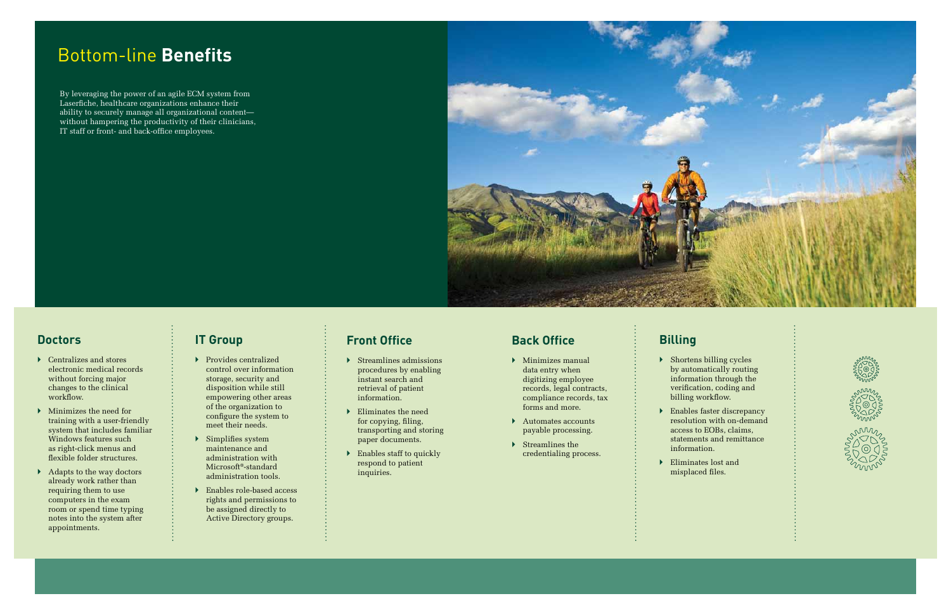# Bottom-line **Benefits**

By leveraging the power of an agile ECM system from Laserfiche, healthcare organizations enhance their ability to securely manage all organizational content without hampering the productivity of their clinicians, IT staff or front- and back-office employees.



### **Doctors**

- $\blacktriangleright$  Centralizes and stores electronic medical records without forcing major changes to the clinical workflow.
- $\blacktriangleright$  Minimizes the need for training with a user-friendly system that includes familiar Windows features such as right-click menus and flexible folder structures.
- $\blacktriangleright$  Adapts to the way doctors already work rather than requiring them to use computers in the exam room or spend time typing notes into the system after appointments.
- $\blacktriangleright$  Provides centralized control over information storage, security and disposition while still empowering other areas of the organization to configure the system to meet their needs.
- **>** Simplifies system maintenance and administration with Microsoft®-standard administration tools.
- **Enables role-based access** rights and permissions to be assigned directly to Active Directory groups.
- $\triangleright$  Streamlines admissions procedures by enabling instant search and retrieval of patient information.
- ` Eliminates the need for copying, filing, transporting and storing paper documents.
- $\blacktriangleright$  Enables staff to quickly respond to patient inquiries.

### **IT Group**

- $\blacktriangleright$  Minimizes manual data entry when digitizing employee records, legal contracts, compliance records, tax forms and more.
- $\blacktriangleright$  Automates accounts payable processing.
- $\blacktriangleright$  Streamlines the credentialing process.

**B** Shortens billing cycles by automatically routing information through the verification, coding and billing workflow.

**Enables faster discrepancy** resolution with on-demand access to EOBs, claims, statements and remittance







## **Front Office**

### **Back Office**

- **Billing**
- - information.
- $\blacktriangleright$  Eliminates lost and misplaced files.